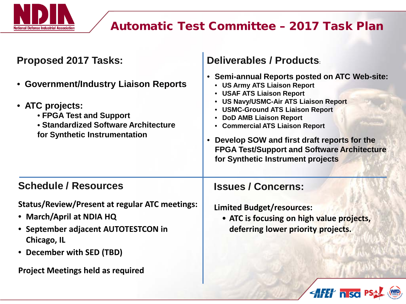

## Automatic Test Committee – 2017 Task Plan

| <b>Proposed 2017 Tasks:</b>                                                                                                                                                 | <b>Deliverables / Products</b>                                                                                                                                                                                                                                                                                                                                                                                                         |
|-----------------------------------------------------------------------------------------------------------------------------------------------------------------------------|----------------------------------------------------------------------------------------------------------------------------------------------------------------------------------------------------------------------------------------------------------------------------------------------------------------------------------------------------------------------------------------------------------------------------------------|
| • Government/Industry Liaison Reports<br>• ATC projects:<br>• FPGA Test and Support<br>• Standardized Software Architecture<br>for Synthetic Instrumentation                | <b>Semi-annual Reports posted on ATC Web-site:</b><br>$\bullet$<br>• US Army ATS Liaison Report<br><b>USAF ATS Liaison Report</b><br><b>US Navy/USMC-Air ATS Liaison Report</b><br><b>USMC-Ground ATS Liaison Report</b><br><b>DoD AMB Liaison Report</b><br>• Commercial ATS Liaison Report<br>Develop SOW and first draft reports for the<br><b>FPGA Test/Support and Software Architecture</b><br>for Synthetic Instrument projects |
| <b>Schedule / Resources</b>                                                                                                                                                 | <b>Issues / Concerns:</b>                                                                                                                                                                                                                                                                                                                                                                                                              |
| <b>Status/Review/Present at regular ATC meetings:</b><br>• March/April at NDIA HQ<br>• September adjacent AUTOTESTCON in<br><b>Chicago, IL</b><br>• December with SED (TBD) | <b>Limited Budget/resources:</b><br>• ATC is focusing on high value projects,<br>deferring lower priority projects.                                                                                                                                                                                                                                                                                                                    |
| <b>Project Meetings held as required</b>                                                                                                                                    |                                                                                                                                                                                                                                                                                                                                                                                                                                        |
|                                                                                                                                                                             | <b>AFET hiso</b> P                                                                                                                                                                                                                                                                                                                                                                                                                     |